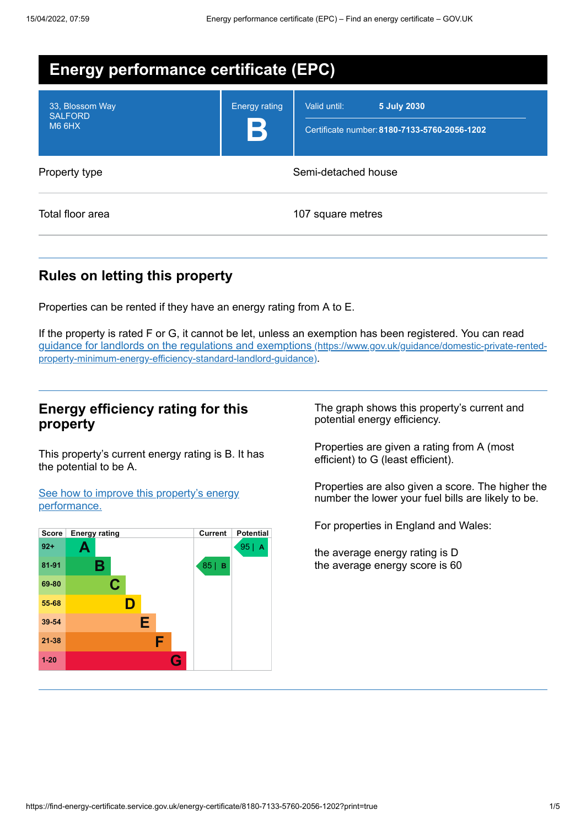| <b>Energy performance certificate (EPC)</b>        |                      |                                                                             |
|----------------------------------------------------|----------------------|-----------------------------------------------------------------------------|
| 33, Blossom Way<br><b>SALFORD</b><br><b>M6 6HX</b> | <b>Energy rating</b> | Valid until:<br>5 July 2030<br>Certificate number: 8180-7133-5760-2056-1202 |
| Property type                                      |                      | Semi-detached house                                                         |
| Total floor area                                   |                      | 107 square metres                                                           |

# **Rules on letting this property**

Properties can be rented if they have an energy rating from A to E.

If the property is rated F or G, it cannot be let, unless an exemption has been registered. You can read guidance for landlords on the regulations and exemptions (https://www.gov.uk/guidance/domestic-private-rented[property-minimum-energy-efficiency-standard-landlord-guidance\)](https://www.gov.uk/guidance/domestic-private-rented-property-minimum-energy-efficiency-standard-landlord-guidance).

## **Energy efficiency rating for this property**

This property's current energy rating is B. It has the potential to be A.

See how to improve this property's energy [performance.](#page-2-0)



The graph shows this property's current and potential energy efficiency.

Properties are given a rating from A (most efficient) to G (least efficient).

Properties are also given a score. The higher the number the lower your fuel bills are likely to be.

For properties in England and Wales:

the average energy rating is D the average energy score is 60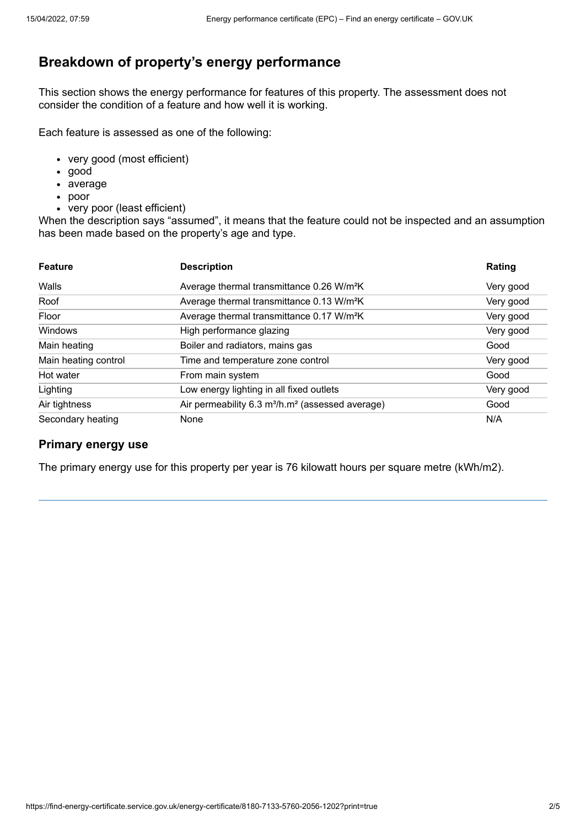# **Breakdown of property's energy performance**

This section shows the energy performance for features of this property. The assessment does not consider the condition of a feature and how well it is working.

Each feature is assessed as one of the following:

- very good (most efficient)
- good
- average
- poor
- very poor (least efficient)

When the description says "assumed", it means that the feature could not be inspected and an assumption has been made based on the property's age and type.

| <b>Feature</b>       | <b>Description</b>                                                       | Rating    |
|----------------------|--------------------------------------------------------------------------|-----------|
| Walls                | Average thermal transmittance 0.26 W/m <sup>2</sup> K                    | Very good |
| Roof                 | Average thermal transmittance 0.13 W/m <sup>2</sup> K                    | Very good |
| Floor                | Average thermal transmittance 0.17 W/m <sup>2</sup> K                    | Very good |
| Windows              | High performance glazing                                                 | Very good |
| Main heating         | Boiler and radiators, mains gas                                          | Good      |
| Main heating control | Time and temperature zone control                                        | Very good |
| Hot water            | From main system                                                         | Good      |
| Lighting             | Low energy lighting in all fixed outlets                                 | Very good |
| Air tightness        | Air permeability 6.3 m <sup>3</sup> /h.m <sup>2</sup> (assessed average) | Good      |
| Secondary heating    | None                                                                     | N/A       |

## **Primary energy use**

The primary energy use for this property per year is 76 kilowatt hours per square metre (kWh/m2).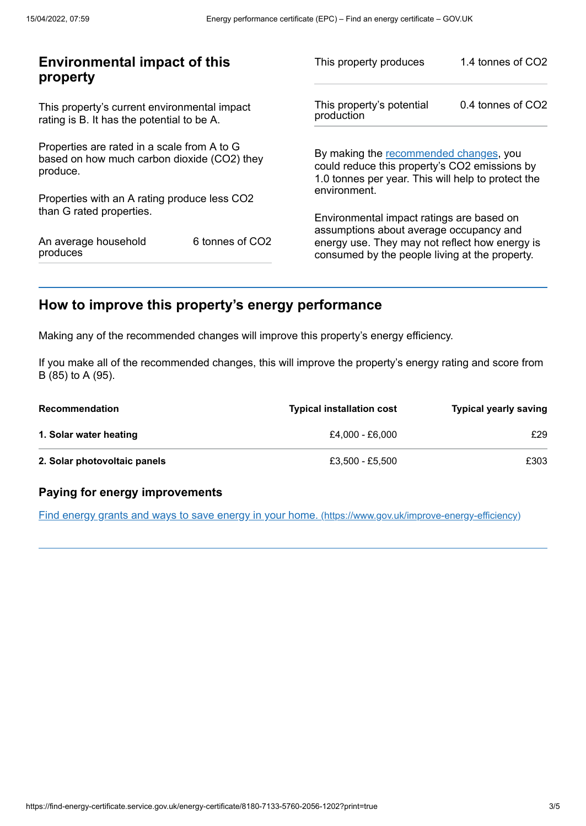| <b>Environmental impact of this</b><br>property                                                        |                             | This property produces                                                                                                                        | 1.4 tonnes of CO2 |
|--------------------------------------------------------------------------------------------------------|-----------------------------|-----------------------------------------------------------------------------------------------------------------------------------------------|-------------------|
| This property's current environmental impact<br>rating is B. It has the potential to be A.             |                             | This property's potential<br>production                                                                                                       | 0.4 tonnes of CO2 |
| Properties are rated in a scale from A to G<br>based on how much carbon dioxide (CO2) they<br>produce. |                             | By making the recommended changes, you<br>could reduce this property's CO2 emissions by<br>1.0 tonnes per year. This will help to protect the |                   |
| Properties with an A rating produce less CO2                                                           |                             | environment.                                                                                                                                  |                   |
| than G rated properties.                                                                               |                             | Environmental impact ratings are based on<br>assumptions about average occupancy and                                                          |                   |
| An average household<br>produces                                                                       | 6 tonnes of CO <sub>2</sub> | energy use. They may not reflect how energy is<br>consumed by the people living at the property.                                              |                   |
|                                                                                                        |                             |                                                                                                                                               |                   |

# <span id="page-2-0"></span>**How to improve this property's energy performance**

Making any of the recommended changes will improve this property's energy efficiency.

If you make all of the recommended changes, this will improve the property's energy rating and score from B (85) to A (95).

| <b>Recommendation</b>        | <b>Typical installation cost</b> | <b>Typical yearly saving</b> |
|------------------------------|----------------------------------|------------------------------|
| 1. Solar water heating       | £4.000 - £6.000                  | £29                          |
| 2. Solar photovoltaic panels | £3.500 - £5.500                  | £303                         |

## **Paying for energy improvements**

Find energy grants and ways to save energy in your home. [\(https://www.gov.uk/improve-energy-efficiency\)](https://www.gov.uk/improve-energy-efficiency)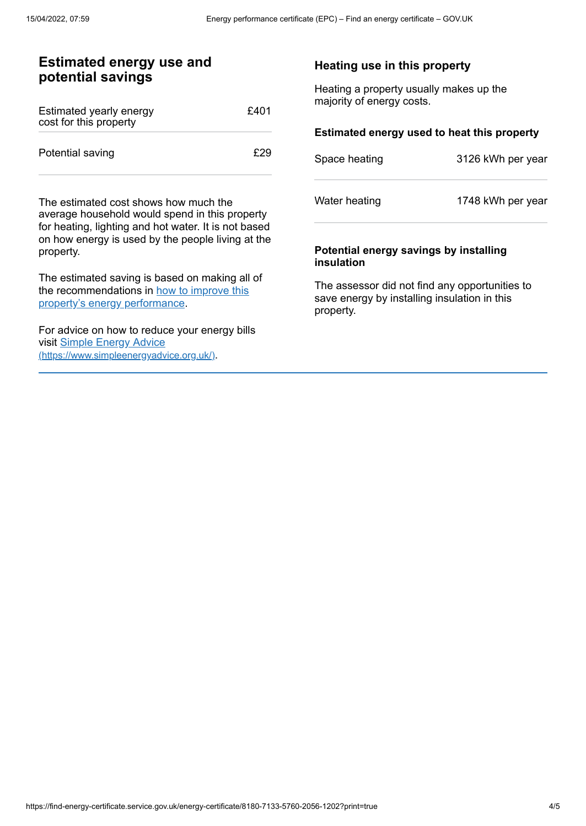## **Estimated energy use and potential savings**

| Estimated yearly energy<br>cost for this property | £401 |
|---------------------------------------------------|------|
| Potential saving                                  | F29  |

The estimated cost shows how much the average household would spend in this property for heating, lighting and hot water. It is not based on how energy is used by the people living at the property.

The estimated saving is based on making all of the [recommendations](#page-2-0) in how to improve this property's energy performance.

For advice on how to reduce your energy bills visit Simple Energy Advice [\(https://www.simpleenergyadvice.org.uk/\)](https://www.simpleenergyadvice.org.uk/).

#### **Heating use in this property**

Heating a property usually makes up the majority of energy costs.

#### **Estimated energy used to heat this property**

| Space heating | 3126 kWh per year |
|---------------|-------------------|
| Water heating | 1748 kWh per year |

#### **Potential energy savings by installing insulation**

The assessor did not find any opportunities to save energy by installing insulation in this property.